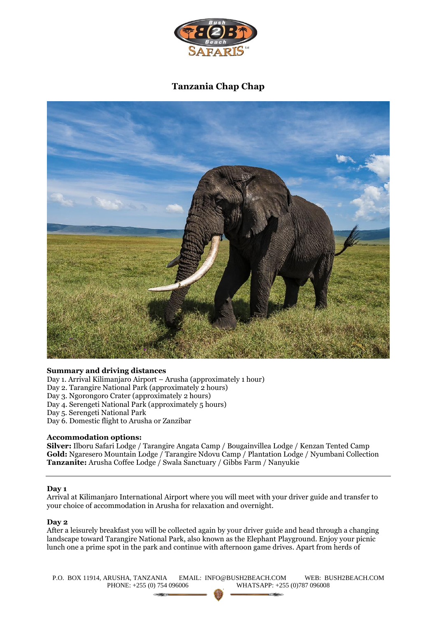

# **Tanzania Chap Chap**



# **Summary and driving distances**

Day 1. Arrival Kilimanjaro Airport – Arusha (approximately 1 hour)

Day 2. Tarangire National Park (approximately 2 hours)

- Day 3. Ngorongoro Crater (approximately 2 hours)
- Day 4. Serengeti National Park (approximately 5 hours)
- Day 5. Serengeti National Park
- Day 6. Domestic flight to Arusha or Zanzibar

#### **Accommodation options:**

**Silver:** Ilboru Safari Lodge / Tarangire Angata Camp / Bougainvillea Lodge / Kenzan Tented Camp **Gold:** Ngaresero Mountain Lodge / Tarangire Ndovu Camp / Plantation Lodge / Nyumbani Collection **Tanzanite:** Arusha Coffee Lodge / Swala Sanctuary / Gibbs Farm / Nanyukie

#### **Day 1**

Arrival at Kilimanjaro International Airport where you will meet with your driver guide and transfer to your choice of accommodation in Arusha for relaxation and overnight.

#### **Day 2**

After a leisurely breakfast you will be collected again by your driver guide and head through a changing landscape toward Tarangire National Park, also known as the Elephant Playground. Enjoy your picnic lunch one a prime spot in the park and continue with afternoon game drives. Apart from herds of

P.O. BOX 11914, ARUSHA, TANZANIA EMAIL: INFO@BUSH2BEACH.COM WEB: BUSH2BEACH.COM PHONE: +255 (0) 754 096006 WHATSAPP: +255 (0)787 096008